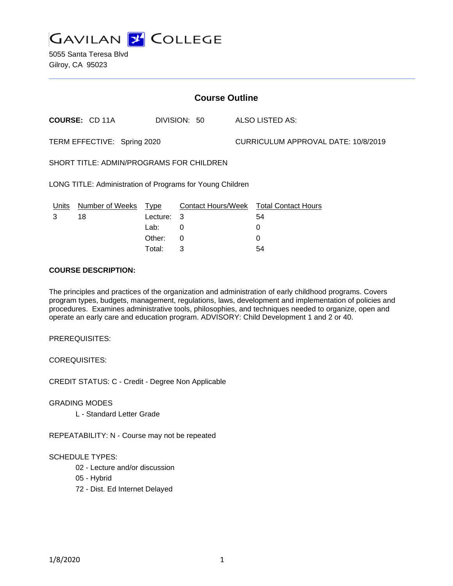

5055 Santa Teresa Blvd Gilroy, CA 95023

| <b>Course Outline</b>                                     |                       |             |              |                                     |                                        |
|-----------------------------------------------------------|-----------------------|-------------|--------------|-------------------------------------|----------------------------------------|
|                                                           | <b>COURSE: CD 11A</b> |             | DIVISION: 50 |                                     | ALSO LISTED AS:                        |
| TERM EFFECTIVE: Spring 2020                               |                       |             |              | CURRICULUM APPROVAL DATE: 10/8/2019 |                                        |
| SHORT TITLE: ADMIN/PROGRAMS FOR CHILDREN                  |                       |             |              |                                     |                                        |
| LONG TITLE: Administration of Programs for Young Children |                       |             |              |                                     |                                        |
| Units                                                     | Number of Weeks       | <u>Type</u> |              |                                     | Contact Hours/Week Total Contact Hours |
| 3                                                         | 18                    | Lecture:    | 3            |                                     | 54                                     |
|                                                           |                       | Lab:        | 0            |                                     | 0                                      |
|                                                           |                       | Other:      | 0            |                                     | 0                                      |
|                                                           |                       | Total:      | 3            |                                     | 54                                     |

#### **COURSE DESCRIPTION:**

The principles and practices of the organization and administration of early childhood programs. Covers program types, budgets, management, regulations, laws, development and implementation of policies and procedures. Examines administrative tools, philosophies, and techniques needed to organize, open and operate an early care and education program. ADVISORY: Child Development 1 and 2 or 40.

PREREQUISITES:

COREQUISITES:

CREDIT STATUS: C - Credit - Degree Non Applicable

GRADING MODES

L - Standard Letter Grade

REPEATABILITY: N - Course may not be repeated

### SCHEDULE TYPES:

- 02 Lecture and/or discussion
- 05 Hybrid
- 72 Dist. Ed Internet Delayed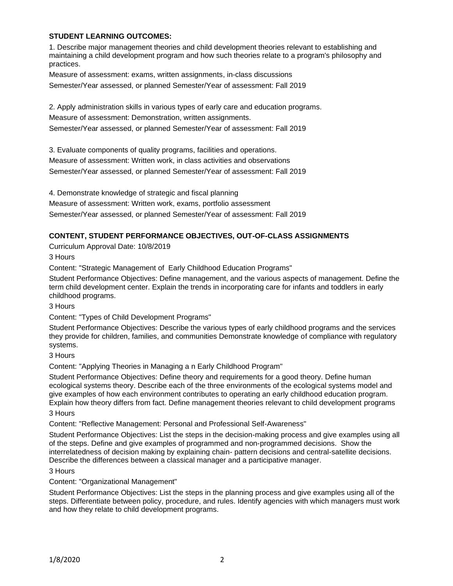### **STUDENT LEARNING OUTCOMES:**

1. Describe major management theories and child development theories relevant to establishing and maintaining a child development program and how such theories relate to a program's philosophy and practices.

Measure of assessment: exams, written assignments, in-class discussions Semester/Year assessed, or planned Semester/Year of assessment: Fall 2019

2. Apply administration skills in various types of early care and education programs.

Measure of assessment: Demonstration, written assignments.

Semester/Year assessed, or planned Semester/Year of assessment: Fall 2019

3. Evaluate components of quality programs, facilities and operations.

Measure of assessment: Written work, in class activities and observations

Semester/Year assessed, or planned Semester/Year of assessment: Fall 2019

4. Demonstrate knowledge of strategic and fiscal planning

Measure of assessment: Written work, exams, portfolio assessment

Semester/Year assessed, or planned Semester/Year of assessment: Fall 2019

## **CONTENT, STUDENT PERFORMANCE OBJECTIVES, OUT-OF-CLASS ASSIGNMENTS**

Curriculum Approval Date: 10/8/2019

3 Hours

Content: "Strategic Management of Early Childhood Education Programs"

Student Performance Objectives: Define management, and the various aspects of management. Define the term child development center. Explain the trends in incorporating care for infants and toddlers in early childhood programs.

3 Hours

Content: "Types of Child Development Programs"

Student Performance Objectives: Describe the various types of early childhood programs and the services they provide for children, families, and communities Demonstrate knowledge of compliance with regulatory systems.

### 3 Hours

Content: "Applying Theories in Managing a n Early Childhood Program"

Student Performance Objectives: Define theory and requirements for a good theory. Define human ecological systems theory. Describe each of the three environments of the ecological systems model and give examples of how each environment contributes to operating an early childhood education program. Explain how theory differs from fact. Define management theories relevant to child development programs

3 Hours

Content: "Reflective Management: Personal and Professional Self-Awareness"

Student Performance Objectives: List the steps in the decision-making process and give examples using all of the steps. Define and give examples of programmed and non-programmed decisions. Show the interrelatedness of decision making by explaining chain- pattern decisions and central-satellite decisions. Describe the differences between a classical manager and a participative manager.

#### 3 Hours

Content: "Organizational Management"

Student Performance Objectives: List the steps in the planning process and give examples using all of the steps. Differentiate between policy, procedure, and rules. Identify agencies with which managers must work and how they relate to child development programs.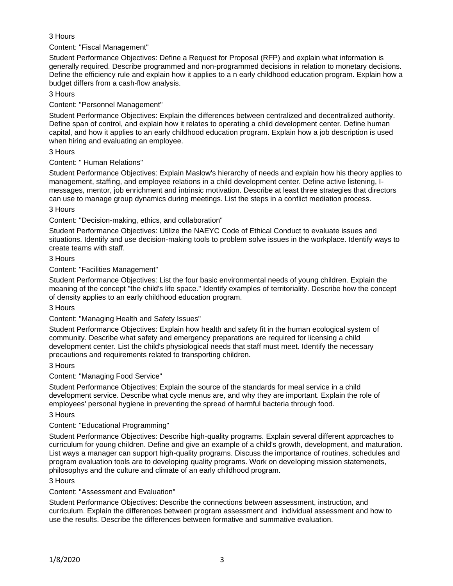## 3 Hours

Content: "Fiscal Management"

Student Performance Objectives: Define a Request for Proposal (RFP) and explain what information is generally required. Describe programmed and non-programmed decisions in relation to monetary decisions. Define the efficiency rule and explain how it applies to a n early childhood education program. Explain how a budget differs from a cash-flow analysis.

### 3 Hours

Content: "Personnel Management"

Student Performance Objectives: Explain the differences between centralized and decentralized authority. Define span of control, and explain how it relates to operating a child development center. Define human capital, and how it applies to an early childhood education program. Explain how a job description is used when hiring and evaluating an employee.

### 3 Hours

Content: " Human Relations"

Student Performance Objectives: Explain Maslow's hierarchy of needs and explain how his theory applies to management, staffing, and employee relations in a child development center. Define active listening, Imessages, mentor, job enrichment and intrinsic motivation. Describe at least three strategies that directors can use to manage group dynamics during meetings. List the steps in a conflict mediation process.

### 3 Hours

## Content: "Decision-making, ethics, and collaboration"

Student Performance Objectives: Utilize the NAEYC Code of Ethical Conduct to evaluate issues and situations. Identify and use decision-making tools to problem solve issues in the workplace. Identify ways to create teams with staff.

## 3 Hours

## Content: "Facilities Management"

Student Performance Objectives: List the four basic environmental needs of young children. Explain the meaning of the concept "the child's life space." Identify examples of territoriality. Describe how the concept of density applies to an early childhood education program.

### 3 Hours

# Content: "Managing Health and Safety Issues"

Student Performance Objectives: Explain how health and safety fit in the human ecological system of community. Describe what safety and emergency preparations are required for licensing a child development center. List the child's physiological needs that staff must meet. Identify the necessary precautions and requirements related to transporting children.

### 3 Hours

# Content: "Managing Food Service"

Student Performance Objectives: Explain the source of the standards for meal service in a child development service. Describe what cycle menus are, and why they are important. Explain the role of employees' personal hygiene in preventing the spread of harmful bacteria through food.

### 3 Hours

# Content: "Educational Programming"

Student Performance Objectives: Describe high-quality programs. Explain several different approaches to curriculum for young children. Define and give an example of a child's growth, development, and maturation. List ways a manager can support high-quality programs. Discuss the importance of routines, schedules and program evaluation tools are to developing quality programs. Work on developing mission statemenets, philosophys and the culture and climate of an early childhood program.

### 3 Hours

# Content: "Assessment and Evaluation"

Student Performance Objectives: Describe the connections between assessment, instruction, and curriculum. Explain the differences between program assessment and individual assessment and how to use the results. Describe the differences between formative and summative evaluation.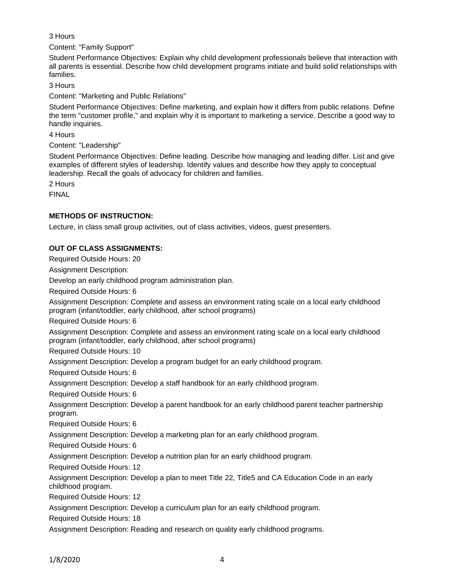## 3 Hours

Content: "Family Support"

Student Performance Objectives: Explain why child development professionals believe that interaction with all parents is essential. Describe how child development programs initiate and build solid relationships with families.

3 Hours

Content: "Marketing and Public Relations"

Student Performance Objectives: Define marketing, and explain how it differs from public relations. Define the term "customer profile," and explain why it is important to marketing a service. Describe a good way to handle inquiries.

4 Hours

Content: "Leadership"

Student Performance Objectives: Define leading. Describe how managing and leading differ. List and give examples of different styles of leadership. Identify values and describe how they apply to conceptual leadership. Recall the goals of advocacy for children and families.

2 Hours

FINAL

### **METHODS OF INSTRUCTION:**

Lecture, in class small group activities, out of class activities, videos, guest presenters.

### **OUT OF CLASS ASSIGNMENTS:**

Required Outside Hours: 20

Assignment Description:

Develop an early childhood program administration plan.

Required Outside Hours: 6

Assignment Description: Complete and assess an environment rating scale on a local early childhood program (infant/toddler, early childhood, after school programs)

Required Outside Hours: 6

Assignment Description: Complete and assess an environment rating scale on a local early childhood program (infant/toddler, early childhood, after school programs)

Required Outside Hours: 10

Assignment Description: Develop a program budget for an early childhood program.

Required Outside Hours: 6

Assignment Description: Develop a staff handbook for an early childhood program.

Required Outside Hours: 6

Assignment Description: Develop a parent handbook for an early childhood parent teacher partnership program.

Required Outside Hours: 6

Assignment Description: Develop a marketing plan for an early childhood program.

Required Outside Hours: 6

Assignment Description: Develop a nutrition plan for an early childhood program.

Required Outside Hours: 12

Assignment Description: Develop a plan to meet Title 22, Title5 and CA Education Code in an early childhood program.

Required Outside Hours: 12

Assignment Description: Develop a curriculum plan for an early childhood program.

Required Outside Hours: 18

Assignment Description: Reading and research on quality early childhood programs.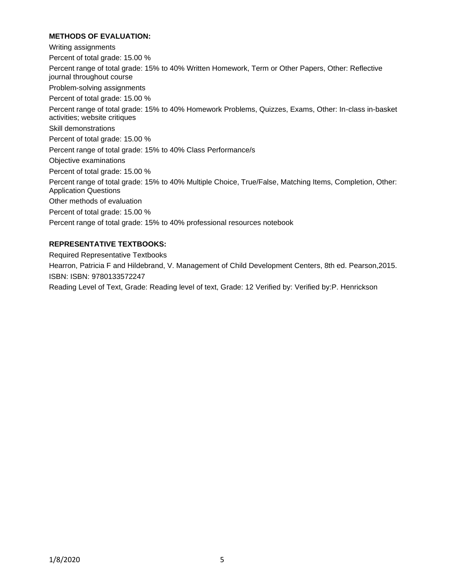### **METHODS OF EVALUATION:**

Writing assignments Percent of total grade: 15.00 % Percent range of total grade: 15% to 40% Written Homework, Term or Other Papers, Other: Reflective journal throughout course Problem-solving assignments Percent of total grade: 15.00 % Percent range of total grade: 15% to 40% Homework Problems, Quizzes, Exams, Other: In-class in-basket activities; website critiques Skill demonstrations Percent of total grade: 15.00 % Percent range of total grade: 15% to 40% Class Performance/s Objective examinations Percent of total grade: 15.00 % Percent range of total grade: 15% to 40% Multiple Choice, True/False, Matching Items, Completion, Other: Application Questions Other methods of evaluation Percent of total grade: 15.00 % Percent range of total grade: 15% to 40% professional resources notebook

### **REPRESENTATIVE TEXTBOOKS:**

Required Representative Textbooks

Hearron, Patricia F and Hildebrand, V. Management of Child Development Centers, 8th ed. Pearson,2015. ISBN: ISBN: 9780133572247

Reading Level of Text, Grade: Reading level of text, Grade: 12 Verified by: Verified by:P. Henrickson